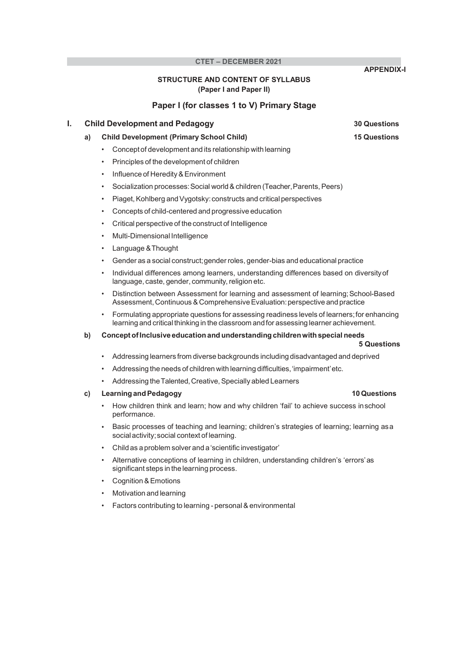# STRUCTURE AND CONTENT OF SYLLABUS (Paper I and Paper II)

Paper I (for classes 1 to V) Primary Stage

# **I.** Child Development and Pedagogy **30 Questions**

# a) Child Development (Primary School Child) 15 Questions

- Concept of development and its relationship with learning
- Principles of the development of children
- Influence of Heredity & Environment
- Socialization processes: Social world & children (Teacher, Parents, Peers)
- Piaget, Kohlberg and Vygotsky: constructs and critical perspectives
- Concepts of child-centered and progressive education
- Critical perspective of the construct of Intelligence
- Multi-Dimensional Intelligence
- Language & Thought
- Gender as a social construct; gender roles, gender-bias and educational practice
- Individual differences among learners, understanding differences based on diversity of language, caste, gender, community, religion etc.
- Distinction between Assessment for learning and assessment of learning; School-Based Assessment, Continuous & Comprehensive Evaluation: perspective and practice
- Formulating appropriate questions for assessing readiness levels of learners; for enhancing learning and critical thinking in the classroom and for assessing learner achievement.

# b) Concept of Inclusive education and understanding children with special needs

## 5 Questions

- Addressing learners from diverse backgrounds including disadvantaged and deprived
- Addressing the needs of children with learning difficulties, 'impairment' etc.
- Addressing the Talented, Creative, Specially abled Learners

# c) Learning and Pedagogy 10 Questions

- How children think and learn; how and why children 'fail' to achieve success in school performance.
- Basic processes of teaching and learning; children's strategies of learning; learning as a social activity; social context of learning.
- Child as a problem solver and a 'scientific investigator'
- Alternative conceptions of learning in children, understanding children's 'errors' as significant steps in the learning process.
- Cognition & Emotions
- Motivation and learning
- Factors contributing to learning personal & environmental

APPENDIX-I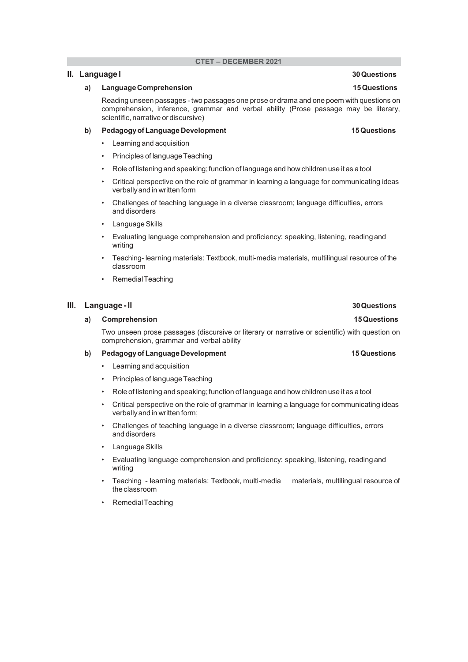# **II.** Language I 30 Questions

### a) Language Comprehension 15 Questions and the state of the state of the state of the state of the state of the state of the state of the state of the state of the state of the state of the state of the state of the state

Reading unseen passages - two passages one prose or drama and one poem with questions on comprehension, inference, grammar and verbal ability (Prose passage may be literary, scientific, narrative or discursive)

## b) Pedagogy of Language Development 15 Questions 15 Questions

- Learning and acquisition
- Principles of language Teaching
- Role of listening and speaking; function of language and how children use it as a tool
- Critical perspective on the role of grammar in learning a language for communicating ideas verbally and in written form
- Challenges of teaching language in a diverse classroom; language difficulties, errors and disorders
- Language Skills
- Evaluating language comprehension and proficiency: speaking, listening, reading and writing
- Teaching- learning materials: Textbook, multi-media materials, multilingual resource of the classroom
- Remedial Teaching

# III. Language - II 30 Questions

### a) Comprehension **15 Questions** 15 Questions

Two unseen prose passages (discursive or literary or narrative or scientific) with question on comprehension, grammar and verbal ability

### b) Pedagogy of Language Development 15 Questions 15 Questions

- Learning and acquisition
- Principles of language Teaching
- Role of listening and speaking; function of language and how children use it as a tool
- Critical perspective on the role of grammar in learning a language for communicating ideas verbally and in written form;
- Challenges of teaching language in a diverse classroom; language difficulties, errors and disorders
- Language Skills
- Evaluating language comprehension and proficiency: speaking, listening, reading and writing
- Teaching learning materials: Textbook, multi-media materials, multilingual resource of the classroom
- Remedial Teaching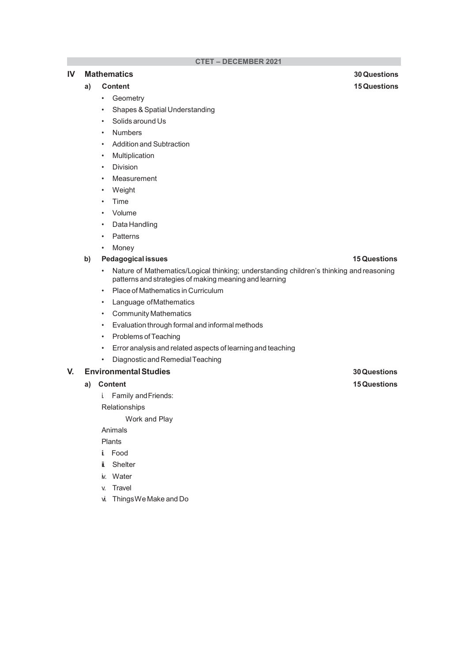# IV Mathematics 30 Questions

- Geometry
- Shapes & Spatial Understanding
- Solids around Us
- **Numbers**
- Addition and Subtraction
- Multiplication
- Division
- Measurement
- Weight
- Time
- Volume
- Data Handling
- Patterns
- Money

# b) Pedagogical issues 15 Questions

- Nature of Mathematics/Logical thinking; understanding children's thinking and reasoning patterns and strategies of making meaning and learning
- Place of Mathematics in Curriculum
- Language of Mathematics
- Community Mathematics
- Evaluation through formal and informal methods
- Problems of Teaching
- Error analysis and related aspects of learning and teaching
- Diagnostic and Remedial Teaching

# V. Environmental Studies 30 Questions

- a) Content 2008 Content 2008 and 2008 Content 2008 and 2008 and 2008 and 2008 and 2008 and 2008 and 2008 and 2008 and 2008 and 2008 and 2008 and 2008 and 2008 and 2008 and 2008 and 2008 and 2008 and 2008 and 2008 and 2008
	- i. Family and Friends:

Relationships

Work and Play

Animals

Plants

- ii. Food
- ii. Shelter
- iv. Water
- v. Travel
- vi. Things We Make and Do

a) Content 15 Questions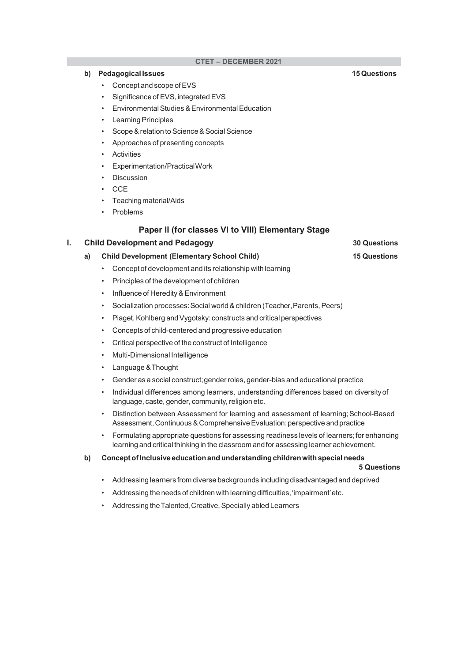# b) Pedagogical Issues 15 Questions

- Concept and scope of EVS
- Significance of EVS, integrated EVS
- Environmental Studies & Environmental Education
- Learning Principles
- Scope & relation to Science & Social Science
- Approaches of presenting concepts
- **Activities**
- Experimentation/Practical Work
- **Discussion**
- CCE
- Teaching material/Aids
- Problems

# Paper II (for classes VI to VIII) Elementary Stage

## **I.** Child Development and Pedagogy **30 Questions** 30 Questions

# a) Child Development (Elementary School Child) 15 Questions

- Concept of development and its relationship with learning
- Principles of the development of children
- Influence of Heredity & Environment
- Socialization processes: Social world & children (Teacher, Parents, Peers)
- Piaget, Kohlberg and Vygotsky: constructs and critical perspectives
- Concepts of child-centered and progressive education
- Critical perspective of the construct of Intelligence
- Multi-Dimensional Intelligence
- Language & Thought
- Gender as a social construct; gender roles, gender-bias and educational practice
- Individual differences among learners, understanding differences based on diversity of language, caste, gender, community, religion etc.
- Distinction between Assessment for learning and assessment of learning; School-Based Assessment, Continuous & Comprehensive Evaluation: perspective and practice
- Formulating appropriate questions for assessing readiness levels of learners; for enhancing learning and critical thinking in the classroom and for assessing learner achievement.
- b) Concept of Inclusive education and understanding children with special needs

### 5 Questions

- Addressing learners from diverse backgrounds including disadvantaged and deprived
- Addressing the needs of children with learning difficulties, 'impairment' etc.
- Addressing the Talented, Creative, Specially abled Learners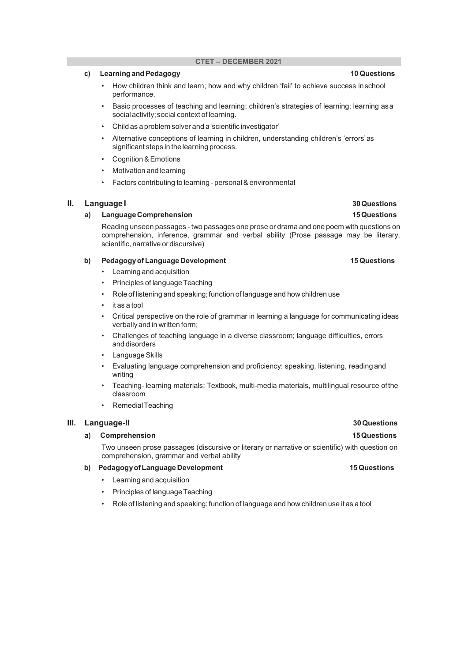# c) Learning and Pedagogy **10** Questions

- How children think and learn; how and why children 'fail' to achieve success in school performance.
- Basic processes of teaching and learning; children's strategies of learning; learning as a social activity; social context of learning.
- Child as a problem solver and a 'scientific investigator'
- Alternative conceptions of learning in children, understanding children's 'errors' as significant steps in the learning process.
- Cognition & Emotions
- Motivation and learning
- Factors contributing to learning personal & environmental

# II. Language I 30 Questions

# a) Language Comprehension 15 Questions

Reading unseen passages - two passages one prose or drama and one poem with questions on comprehension, inference, grammar and verbal ability (Prose passage may be literary, scientific, narrative or discursive)

### b) Pedagogy of Language Development 15 Questions 15 Questions

- Learning and acquisition
- Principles of language Teaching
- Role of listening and speaking; function of language and how children use
- it as a tool
- Critical perspective on the role of grammar in learning a language for communicating ideas verbally and in written form;
- Challenges of teaching language in a diverse classroom; language difficulties, errors and disorders
- Language Skills
- Evaluating language comprehension and proficiency: speaking, listening, reading and writing
- Teaching- learning materials: Textbook, multi-media materials, multilingual resource of the classroom
- Remedial Teaching

### III. Language-II 30 Questions

## a) Comprehension **15 Questions** 2014

Two unseen prose passages (discursive or literary or narrative or scientific) with question on comprehension, grammar and verbal ability

# b) Pedagogy of Language Development 15 Questions 15 Questions

- Learning and acquisition
- Principles of language Teaching
- Role of listening and speaking; function of language and how children use it as a tool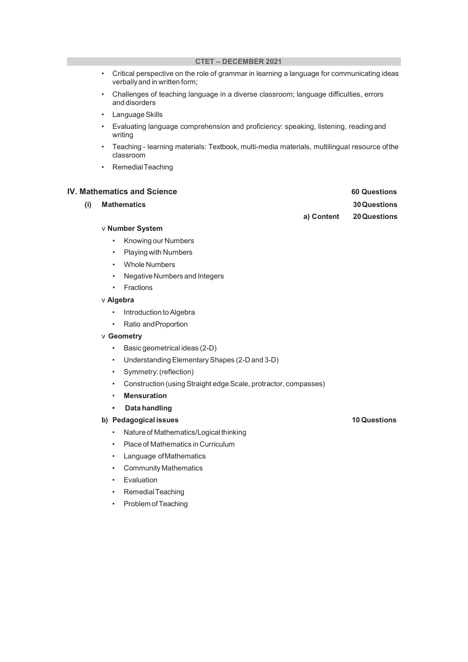- Critical perspective on the role of grammar in learning a language for communicating ideas verbally and in written form;
- Challenges of teaching language in a diverse classroom; language difficulties, errors and disorders
- Language Skills
- Evaluating language comprehension and proficiency: speaking, listening, reading and writing
- Teaching learning materials: Textbook, multi-media materials, multilingual resource of the classroom
- Remedial Teaching

## **IV. Mathematics and Science 60 Questions** 60 Questions

| (i) Mathematics |            | <b>30 Questions</b> |
|-----------------|------------|---------------------|
|                 | a) Content | <b>20 Questions</b> |
| ∨ Number System |            |                     |

- Knowing our Numbers
- Playing with Numbers
- Whole Numbers
- Negative Numbers and Integers
- Fractions

## v Algebra

- Introduction to Algebra
- Ratio and Proportion

### v Geometry

- Basic geometrical ideas (2-D)
- Understanding Elementary Shapes (2-D and 3-D)
- Symmetry: (reflection)
- Construction (using Straight edge Scale, protractor, compasses)
- Mensuration
- Data handling

# b) Pedagogical issues 10 Questions

- Nature of Mathematics/Logical thinking
- Place of Mathematics in Curriculum
- Language of Mathematics
- Community Mathematics
- Evaluation
- Remedial Teaching
- Problem of Teaching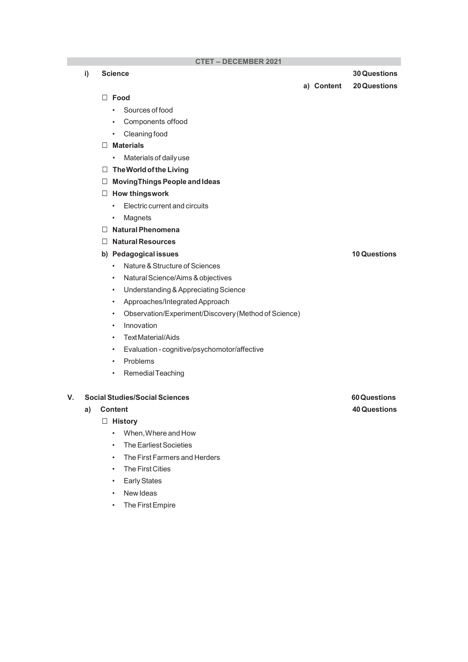i) Science 30 Questions

a) Content 20 Questions

### $\Box$  Food  $\Box$

- Sources of food
- Components of food
- Cleaning food

# $\Box$  Materials

- Materials of daily use
- $\Box$  The World of the Living
- MovingThings People and Ideas

# $\Box$  How thingswork

- Electric current and circuits
- Magnets
- $\Box$  Natural Phenomena
- □ Natural Resources

# b) Pedagogical issues 10 Questions

- Nature & Structure of Sciences
- Natural Science/Aims & objectives
- Understanding & Appreciating Science
- Approaches/Integrated Approach
- Observation/Experiment/Discovery (Method of Science)
- Innovation
- Text Material/Aids
- Evaluation cognitive/psychomotor/affective
- Problems
- Remedial Teaching

### V. Social Studies/Social Sciences 60 Questions

# $\Box$  History

- When, Where and How
- The Earliest Societies
- The First Farmers and Herders
- The First Cities
- Early States
- New Ideas
- The First Empire

a) Content 40 Questions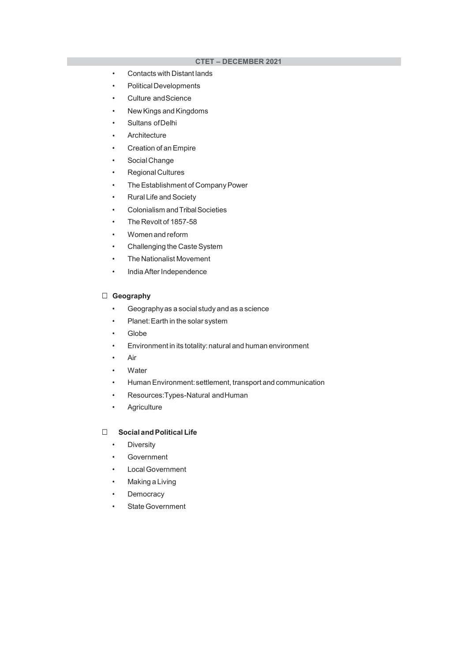- Contacts with Distant lands
- Political Developments
- Culture and Science
- New Kings and Kingdoms
- Sultans of Delhi
- Architecture
- Creation of an Empire
- Social Change
- Regional Cultures
- The Establishment of Company Power
- Rural Life and Society
- Colonialism and Tribal Societies
- The Revolt of 1857-58
- Women and reform
- Challenging the Caste System
- The Nationalist Movement
- India After Independence

# Geography

- Geography as a social study and as a science
- Planet: Earth in the solar system
- Globe
- Environment in its totality: natural and human environment
- Air
- Water
- Human Environment: settlement, transport and communication
- Resources:Types-Natural and Human
- Agriculture

# □ Social and Political Life

- Diversity
- **Government**
- Local Government
- **Making a Living**
- **Democracy**
- State Government